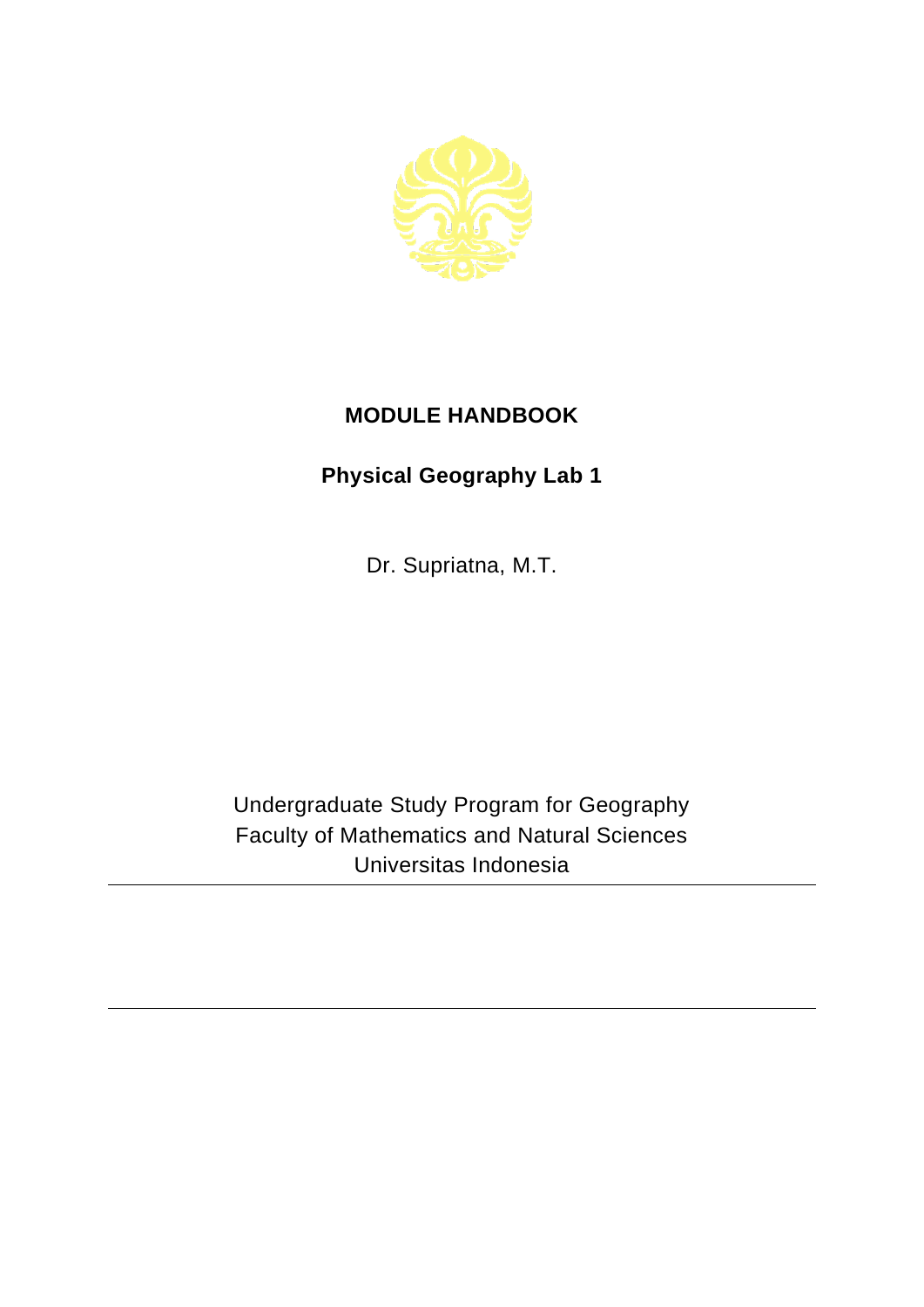

## **MODULE HANDBOOK**

## **Physical Geography Lab 1**

Dr. Supriatna, M.T.

Undergraduate Study Program for Geography Faculty of Mathematics and Natural Sciences Universitas Indonesia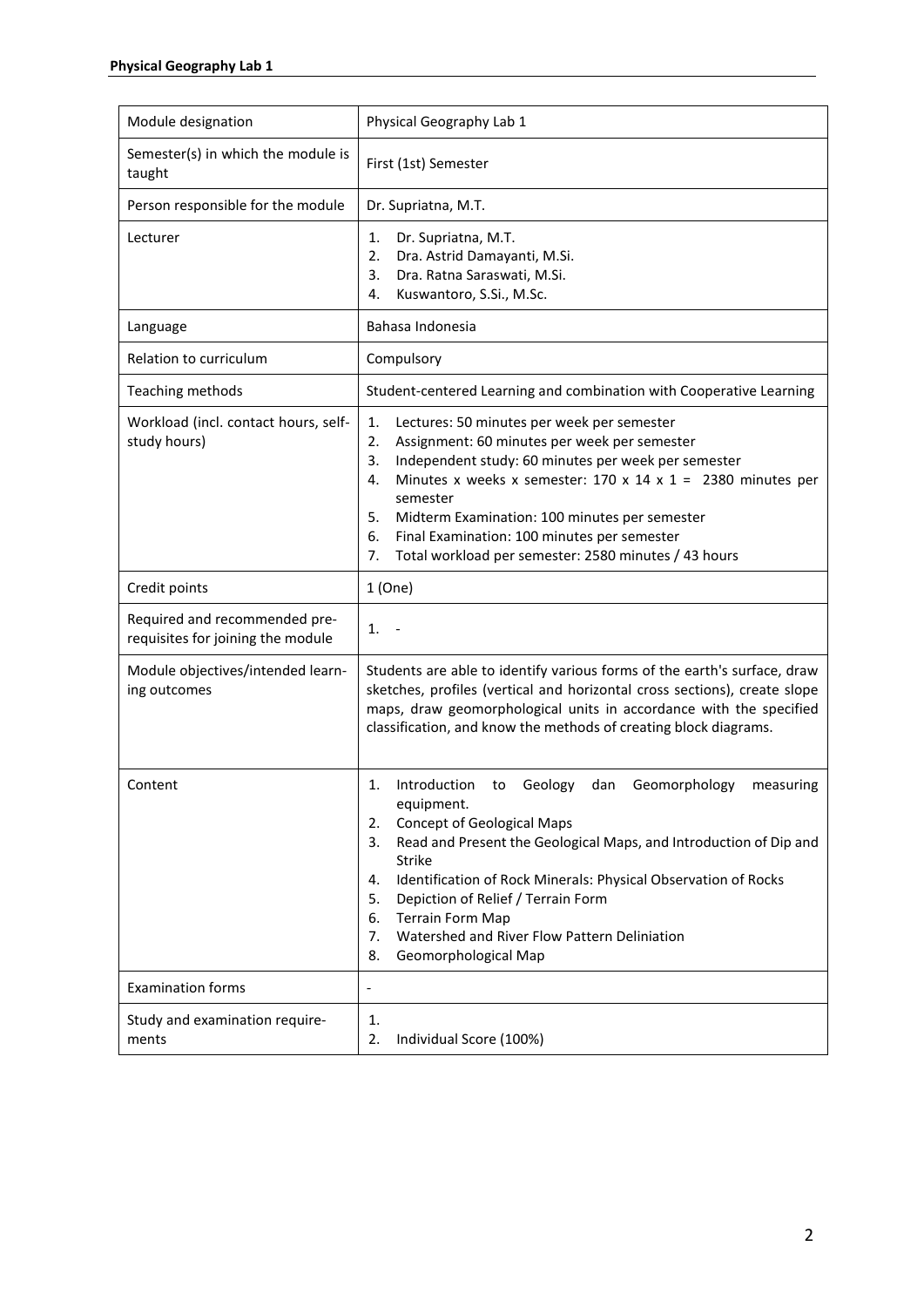| Module designation                                                 | Physical Geography Lab 1                                                                                                                                                                                                                                                                                                                                                                                                                                               |
|--------------------------------------------------------------------|------------------------------------------------------------------------------------------------------------------------------------------------------------------------------------------------------------------------------------------------------------------------------------------------------------------------------------------------------------------------------------------------------------------------------------------------------------------------|
| Semester(s) in which the module is<br>taught                       | First (1st) Semester                                                                                                                                                                                                                                                                                                                                                                                                                                                   |
| Person responsible for the module                                  | Dr. Supriatna, M.T.                                                                                                                                                                                                                                                                                                                                                                                                                                                    |
| Lecturer                                                           | Dr. Supriatna, M.T.<br>1.<br>2.<br>Dra. Astrid Damayanti, M.Si.<br>Dra. Ratna Saraswati, M.Si.<br>3.<br>Kuswantoro, S.Si., M.Sc.<br>4.                                                                                                                                                                                                                                                                                                                                 |
| Language                                                           | Bahasa Indonesia                                                                                                                                                                                                                                                                                                                                                                                                                                                       |
| Relation to curriculum                                             | Compulsory                                                                                                                                                                                                                                                                                                                                                                                                                                                             |
| Teaching methods                                                   | Student-centered Learning and combination with Cooperative Learning                                                                                                                                                                                                                                                                                                                                                                                                    |
| Workload (incl. contact hours, self-<br>study hours)               | 1.<br>Lectures: 50 minutes per week per semester<br>Assignment: 60 minutes per week per semester<br>2.<br>Independent study: 60 minutes per week per semester<br>3.<br>Minutes x weeks x semester: $170 \times 14 \times 1 = 2380$ minutes per<br>4.<br>semester<br>5.<br>Midterm Examination: 100 minutes per semester<br>Final Examination: 100 minutes per semester<br>6.<br>7.<br>Total workload per semester: 2580 minutes / 43 hours                             |
| Credit points                                                      | 1(One)                                                                                                                                                                                                                                                                                                                                                                                                                                                                 |
| Required and recommended pre-<br>requisites for joining the module | 1.                                                                                                                                                                                                                                                                                                                                                                                                                                                                     |
| Module objectives/intended learn-<br>ing outcomes                  | Students are able to identify various forms of the earth's surface, draw<br>sketches, profiles (vertical and horizontal cross sections), create slope<br>maps, draw geomorphological units in accordance with the specified<br>classification, and know the methods of creating block diagrams.                                                                                                                                                                        |
| Content                                                            | Introduction<br>Geomorphology<br>1.<br>Geology<br>dan<br>measuring<br>to<br>equipment.<br><b>Concept of Geological Maps</b><br>2.<br>3.<br>Read and Present the Geological Maps, and Introduction of Dip and<br><b>Strike</b><br>Identification of Rock Minerals: Physical Observation of Rocks<br>4.<br>Depiction of Relief / Terrain Form<br>5.<br><b>Terrain Form Map</b><br>6.<br>Watershed and River Flow Pattern Deliniation<br>7.<br>8.<br>Geomorphological Map |
| <b>Examination forms</b>                                           | $\qquad \qquad \blacksquare$                                                                                                                                                                                                                                                                                                                                                                                                                                           |
| Study and examination require-<br>ments                            | 1.<br>Individual Score (100%)<br>2.                                                                                                                                                                                                                                                                                                                                                                                                                                    |